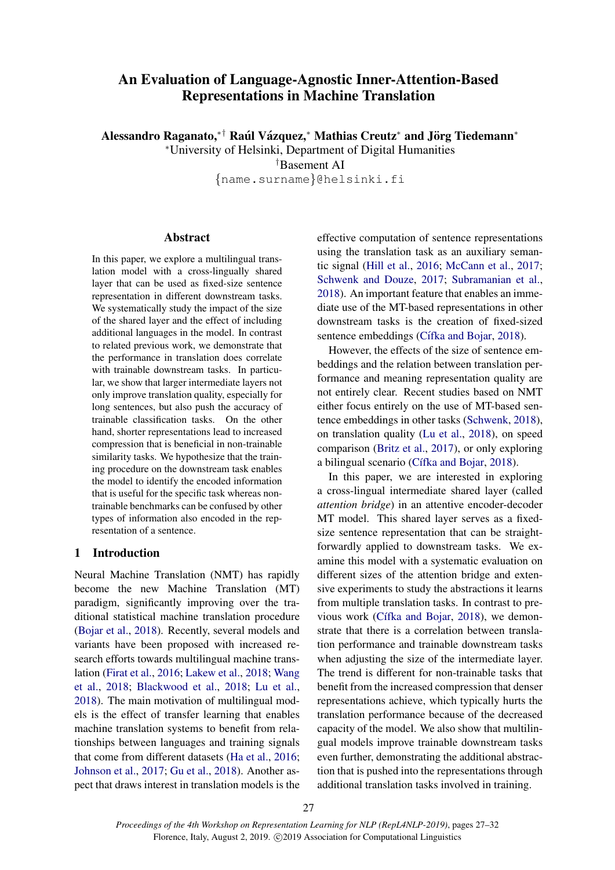# An Evaluation of Language-Agnostic Inner-Attention-Based Representations in Machine Translation

Alessandro Raganato,\*† Raúl Vázquez,\* Mathias Creutz\* and Jörg Tiedemann\*

<sup>∗</sup>University of Helsinki, Department of Digital Humanities

†Basement AI

{name.surname}@helsinki.fi

## Abstract

In this paper, we explore a multilingual translation model with a cross-lingually shared layer that can be used as fixed-size sentence representation in different downstream tasks. We systematically study the impact of the size of the shared layer and the effect of including additional languages in the model. In contrast to related previous work, we demonstrate that the performance in translation does correlate with trainable downstream tasks. In particular, we show that larger intermediate layers not only improve translation quality, especially for long sentences, but also push the accuracy of trainable classification tasks. On the other hand, shorter representations lead to increased compression that is beneficial in non-trainable similarity tasks. We hypothesize that the training procedure on the downstream task enables the model to identify the encoded information that is useful for the specific task whereas nontrainable benchmarks can be confused by other types of information also encoded in the representation of a sentence.

## 1 Introduction

Neural Machine Translation (NMT) has rapidly become the new Machine Translation (MT) paradigm, significantly improving over the traditional statistical machine translation procedure [\(Bojar et al.,](#page-4-0) [2018\)](#page-4-0). Recently, several models and variants have been proposed with increased research efforts towards multilingual machine translation [\(Firat et al.,](#page-4-1) [2016;](#page-4-1) [Lakew et al.,](#page-4-2) [2018;](#page-4-2) [Wang](#page-5-0) [et al.,](#page-5-0) [2018;](#page-5-0) [Blackwood et al.,](#page-4-3) [2018;](#page-4-3) [Lu et al.,](#page-5-1) [2018\)](#page-5-1). The main motivation of multilingual models is the effect of transfer learning that enables machine translation systems to benefit from relationships between languages and training signals that come from different datasets [\(Ha et al.,](#page-4-4) [2016;](#page-4-4) [Johnson et al.,](#page-4-5) [2017;](#page-4-5) [Gu et al.,](#page-4-6) [2018\)](#page-4-6). Another aspect that draws interest in translation models is the effective computation of sentence representations using the translation task as an auxiliary semantic signal [\(Hill et al.,](#page-4-7) [2016;](#page-4-7) [McCann et al.,](#page-5-2) [2017;](#page-5-2) [Schwenk and Douze,](#page-5-3) [2017;](#page-5-3) [Subramanian et al.,](#page-5-4) [2018\)](#page-5-4). An important feature that enables an immediate use of the MT-based representations in other downstream tasks is the creation of fixed-sized sentence embeddings (Cífka and Bojar, [2018\)](#page-4-8).

However, the effects of the size of sentence embeddings and the relation between translation performance and meaning representation quality are not entirely clear. Recent studies based on NMT either focus entirely on the use of MT-based sentence embeddings in other tasks [\(Schwenk,](#page-5-5) [2018\)](#page-5-5), on translation quality [\(Lu et al.,](#page-5-1) [2018\)](#page-5-1), on speed comparison [\(Britz et al.,](#page-4-9) [2017\)](#page-4-9), or only exploring a bilingual scenario (Cífka and Bojar, [2018\)](#page-4-8).

In this paper, we are interested in exploring a cross-lingual intermediate shared layer (called *attention bridge*) in an attentive encoder-decoder MT model. This shared layer serves as a fixedsize sentence representation that can be straightforwardly applied to downstream tasks. We examine this model with a systematic evaluation on different sizes of the attention bridge and extensive experiments to study the abstractions it learns from multiple translation tasks. In contrast to pre-vious work (Cífka and Bojar, [2018\)](#page-4-8), we demonstrate that there is a correlation between translation performance and trainable downstream tasks when adjusting the size of the intermediate layer. The trend is different for non-trainable tasks that benefit from the increased compression that denser representations achieve, which typically hurts the translation performance because of the decreased capacity of the model. We also show that multilingual models improve trainable downstream tasks even further, demonstrating the additional abstraction that is pushed into the representations through additional translation tasks involved in training.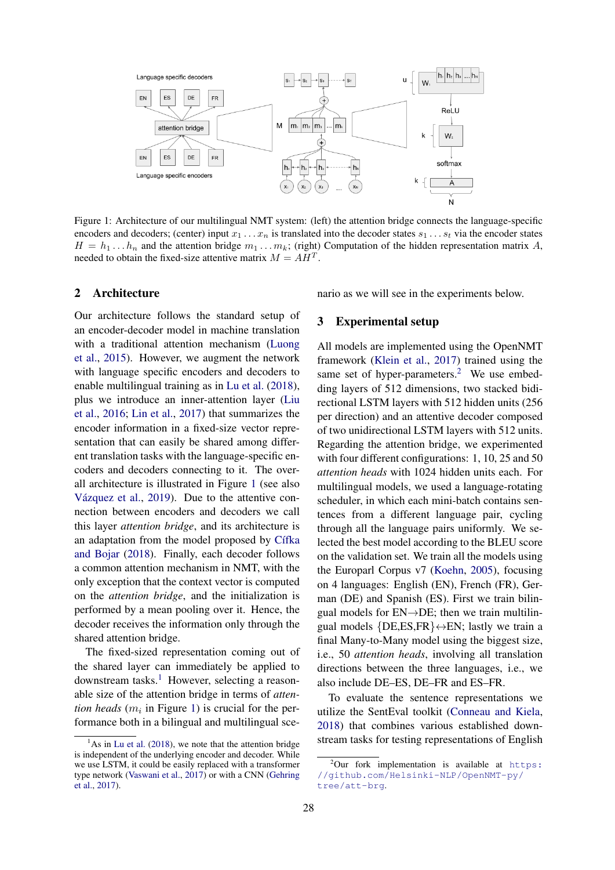<span id="page-1-0"></span>

Figure 1: Architecture of our multilingual NMT system: (left) the attention bridge connects the language-specific encoders and decoders; (center) input  $x_1 \ldots x_n$  is translated into the decoder states  $s_1 \ldots s_t$  via the encoder states  $H = h_1 \dots h_n$  and the attention bridge  $m_1 \dots m_k$ ; (right) Computation of the hidden representation matrix A, needed to obtain the fixed-size attentive matrix  $M = AH^T$ .

## 2 Architecture

Our architecture follows the standard setup of an encoder-decoder model in machine translation with a traditional attention mechanism [\(Luong](#page-5-6) [et al.,](#page-5-6) [2015\)](#page-5-6). However, we augment the network with language specific encoders and decoders to enable multilingual training as in [Lu et al.](#page-5-1) [\(2018\)](#page-5-1), plus we introduce an inner-attention layer [\(Liu](#page-5-7) [et al.,](#page-5-7) [2016;](#page-5-7) [Lin et al.,](#page-5-8) [2017\)](#page-5-8) that summarizes the encoder information in a fixed-size vector representation that can easily be shared among different translation tasks with the language-specific encoders and decoders connecting to it. The overall architecture is illustrated in Figure [1](#page-1-0) (see also Vázquez et al., [2019\)](#page-5-9). Due to the attentive connection between encoders and decoders we call this layer *attention bridge*, and its architecture is an adaptation from the model proposed by Cífka [and Bojar](#page-4-8) [\(2018\)](#page-4-8). Finally, each decoder follows a common attention mechanism in NMT, with the only exception that the context vector is computed on the *attention bridge*, and the initialization is performed by a mean pooling over it. Hence, the decoder receives the information only through the shared attention bridge.

The fixed-sized representation coming out of the shared layer can immediately be applied to downstream tasks.<sup>[1](#page-1-1)</sup> However, selecting a reasonable size of the attention bridge in terms of *attention heads*  $(m_i$  in Figure [1\)](#page-1-0) is crucial for the performance both in a bilingual and multilingual scenario as we will see in the experiments below.

#### 3 Experimental setup

All models are implemented using the OpenNMT framework [\(Klein et al.,](#page-4-11) [2017\)](#page-4-11) trained using the same set of hyper-parameters.<sup>[2](#page-1-2)</sup> We use embedding layers of 512 dimensions, two stacked bidirectional LSTM layers with 512 hidden units (256 per direction) and an attentive decoder composed of two unidirectional LSTM layers with 512 units. Regarding the attention bridge, we experimented with four different configurations: 1, 10, 25 and 50 *attention heads* with 1024 hidden units each. For multilingual models, we used a language-rotating scheduler, in which each mini-batch contains sentences from a different language pair, cycling through all the language pairs uniformly. We selected the best model according to the BLEU score on the validation set. We train all the models using the Europarl Corpus v7 [\(Koehn,](#page-4-12) [2005\)](#page-4-12), focusing on 4 languages: English (EN), French (FR), German (DE) and Spanish (ES). First we train bilingual models for  $EN \rightarrow DE$ ; then we train multilingual models  $\{DE, ES, FR\} \leftrightarrow EN$ ; lastly we train a final Many-to-Many model using the biggest size, i.e., 50 *attention heads*, involving all translation directions between the three languages, i.e., we also include DE–ES, DE–FR and ES–FR.

To evaluate the sentence representations we utilize the SentEval toolkit [\(Conneau and Kiela,](#page-4-13) [2018\)](#page-4-13) that combines various established downstream tasks for testing representations of English

<span id="page-1-1"></span> $<sup>1</sup>$ As in [Lu et al.](#page-5-1) [\(2018\)](#page-5-1), we note that the attention bridge</sup> is independent of the underlying encoder and decoder. While we use LSTM, it could be easily replaced with a transformer type network [\(Vaswani et al.,](#page-5-10) [2017\)](#page-5-10) or with a CNN [\(Gehring](#page-4-10) [et al.,](#page-4-10) [2017\)](#page-4-10).

<span id="page-1-2"></span> $2$ Our fork implementation is available at [https:](https://github.com/Helsinki-NLP/OpenNMT-py/tree/att-brg) [//github.com/Helsinki-NLP/OpenNMT-py/](https://github.com/Helsinki-NLP/OpenNMT-py/tree/att-brg) [tree/att-brg](https://github.com/Helsinki-NLP/OpenNMT-py/tree/att-brg).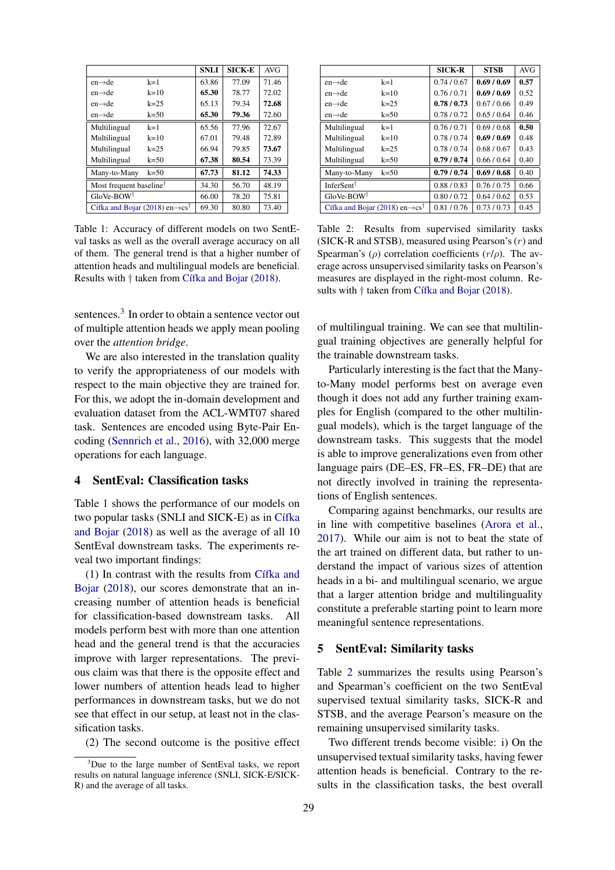<span id="page-2-1"></span>

|                                                         |           | <b>SNLI</b> | <b>SICK-E</b> | AVG   |
|---------------------------------------------------------|-----------|-------------|---------------|-------|
| $en \rightarrow de$                                     | $k=1$     | 63.86       | 77.09         | 71.46 |
| $en \rightarrow de$                                     | $k=10$    | 65.30       | 78.77         | 72.02 |
| $en \rightarrow de$                                     | $k = 2.5$ | 65.13       | 79.34         | 72.68 |
| $en \rightarrow de$                                     | $k = 50$  | 65.30       | 79.36         | 72.60 |
| Multilingual                                            | $k=1$     | 65.56       | 77.96         | 72.67 |
| Multilingual                                            | $k=10$    | 67.01       | 79.48         | 72.89 |
| Multilingual                                            | $k = 2.5$ | 66.94       | 79.85         | 73.67 |
| Multilingual                                            | $k = 50$  | 67.38       | 80.54         | 73.39 |
| Many-to-Many                                            | $k = 50$  | 67.73       | 81.12         | 74.33 |
| Most frequent baseline <sup>†</sup>                     |           | 34.30       | 56.70         | 48.19 |
| GloVe-BOW <sup>†</sup>                                  | 66.00     | 78.20       | 75.81         |       |
| Cífka and Bojar (2018) en $\rightarrow$ cs <sup>†</sup> | 69.30     | 80.80       | 73.40         |       |

Table 1: Accuracy of different models on two SentEval tasks as well as the overall average accuracy on all of them. The general trend is that a higher number of attention heads and multilingual models are beneficial. Results with  $\dagger$  taken from Cífka and Bojar [\(2018\)](#page-4-8).

sentences.<sup>[3](#page-2-0)</sup> In order to obtain a sentence vector out of multiple attention heads we apply mean pooling over the *attention bridge*.

We are also interested in the translation quality to verify the appropriateness of our models with respect to the main objective they are trained for. For this, we adopt the in-domain development and evaluation dataset from the ACL-WMT07 shared task. Sentences are encoded using Byte-Pair Encoding [\(Sennrich et al.,](#page-5-11) [2016\)](#page-5-11), with 32,000 merge operations for each language.

## 4 SentEval: Classification tasks

Table [1](#page-2-1) shows the performance of our models on two popular tasks (SNLI and SICK-E) as in Cífka [and Bojar](#page-4-8) [\(2018\)](#page-4-8) as well as the average of all 10 SentEval downstream tasks. The experiments reveal two important findings:

 $(1)$  In contrast with the results from Cífka and [Bojar](#page-4-8) [\(2018\)](#page-4-8), our scores demonstrate that an increasing number of attention heads is beneficial for classification-based downstream tasks. All models perform best with more than one attention head and the general trend is that the accuracies improve with larger representations. The previous claim was that there is the opposite effect and lower numbers of attention heads lead to higher performances in downstream tasks, but we do not see that effect in our setup, at least not in the classification tasks.

(2) The second outcome is the positive effect

<span id="page-2-2"></span>

|                                                         |           | <b>SICK-R</b> | <b>STSB</b> | AVG  |
|---------------------------------------------------------|-----------|---------------|-------------|------|
| en→de                                                   | $k=1$     | 0.74/0.67     | 0.69/0.69   | 0.57 |
| en→de                                                   | $k=10$    | 0.76/0.71     | 0.69/0.69   | 0.52 |
| en→de                                                   | $k = 2.5$ | 0.78/0.73     | 0.67/0.66   | 0.49 |
| $en \rightarrow de$                                     | $k = 50$  | 0.78/0.72     | 0.65/0.64   | 0.46 |
| Multilingual                                            | $k=1$     | 0.76/0.71     | 0.69/0.68   | 0.50 |
| Multilingual                                            | $k=10$    | 0.78/0.74     | 0.69/0.69   | 0.48 |
| Multilingual                                            | $k = 2.5$ | 0.78/0.74     | 0.68/0.67   | 0.43 |
| Multilingual                                            | $k = 50$  | 0.79/0.74     | 0.66 / 0.64 | 0.40 |
| Many-to-Many                                            | $k=50$    | 0.79/0.74     | 0.69/0.68   | 0.40 |
| InferSent <sup>†</sup>                                  |           | 0.88 / 0.83   | 0.76/0.75   | 0.66 |
| $GloVe-BOW^{\dagger}$                                   |           | 0.80 / 0.72   | 0.64 / 0.62 | 0.53 |
| Cífka and Bojar (2018) en $\rightarrow$ cs <sup>†</sup> |           | 0.81 / 0.76   | 0.73/0.73   | 0.45 |

Table 2: Results from supervised similarity tasks (SICK-R and STSB), measured using Pearson's  $(r)$  and Spearman's ( $\rho$ ) correlation coefficients ( $r/\rho$ ). The average across unsupervised similarity tasks on Pearson's measures are displayed in the right-most column. Results with  $\dagger$  taken from Cífka and Bojar [\(2018\)](#page-4-8).

of multilingual training. We can see that multilingual training objectives are generally helpful for the trainable downstream tasks.

Particularly interesting is the fact that the Manyto-Many model performs best on average even though it does not add any further training examples for English (compared to the other multilingual models), which is the target language of the downstream tasks. This suggests that the model is able to improve generalizations even from other language pairs (DE–ES, FR–ES, FR–DE) that are not directly involved in training the representations of English sentences.

Comparing against benchmarks, our results are in line with competitive baselines [\(Arora et al.,](#page-4-14) [2017\)](#page-4-14). While our aim is not to beat the state of the art trained on different data, but rather to understand the impact of various sizes of attention heads in a bi- and multilingual scenario, we argue that a larger attention bridge and multilinguality constitute a preferable starting point to learn more meaningful sentence representations.

#### 5 SentEval: Similarity tasks

Table [2](#page-2-2) summarizes the results using Pearson's and Spearman's coefficient on the two SentEval supervised textual similarity tasks, SICK-R and STSB, and the average Pearson's measure on the remaining unsupervised similarity tasks.

Two different trends become visible: i) On the unsupervised textual similarity tasks, having fewer attention heads is beneficial. Contrary to the results in the classification tasks, the best overall

<span id="page-2-0"></span><sup>&</sup>lt;sup>3</sup>Due to the large number of SentEval tasks, we report results on natural language inference (SNLI, SICK-E/SICK-R) and the average of all tasks.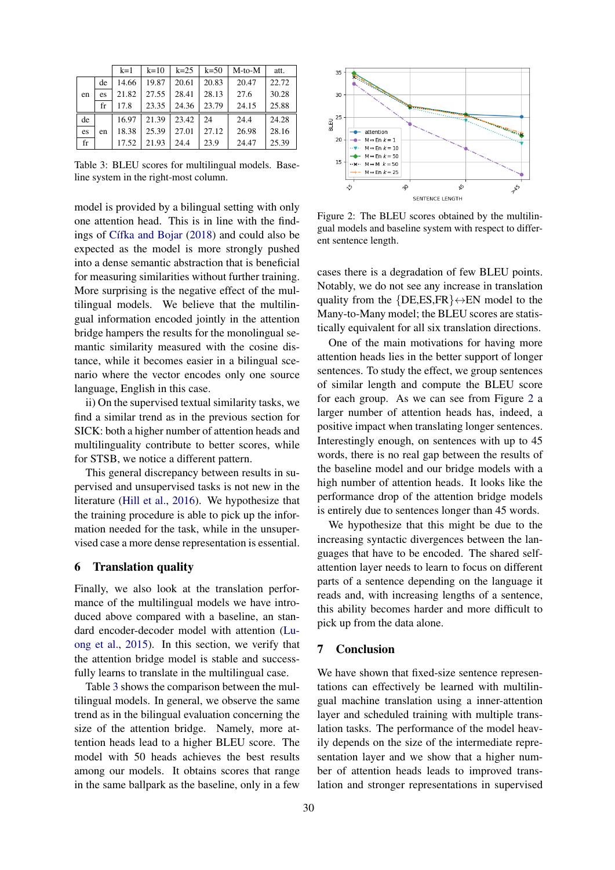<span id="page-3-0"></span>

|    |    | $k=1$ | $k=10$ | $k = 2.5$ | $k = 50$ | $M$ -to- $M$ | att.  |
|----|----|-------|--------|-----------|----------|--------------|-------|
|    | de | 14.66 | 19.87  | 20.61     | 20.83    | 20.47        | 22.72 |
| en | es | 21.82 | 27.55  | 28.41     | 28.13    | 27.6         | 30.28 |
|    | fr | 17.8  | 23.35  | 24.36     | 23.79    | 24.15        | 25.88 |
| de |    | 16.97 | 21.39  | 23.42     | 24       | 24.4         | 24.28 |
| es | en | 18.38 | 25.39  | 27.01     | 27.12    | 26.98        | 28.16 |
| fr |    | 17.52 | 21.93  | 24.4      | 23.9     | 24.47        | 25.39 |

Table 3: BLEU scores for multilingual models. Baseline system in the right-most column.

model is provided by a bilingual setting with only one attention head. This is in line with the findings of Cífka and Bojar  $(2018)$  and could also be expected as the model is more strongly pushed into a dense semantic abstraction that is beneficial for measuring similarities without further training. More surprising is the negative effect of the multilingual models. We believe that the multilingual information encoded jointly in the attention bridge hampers the results for the monolingual semantic similarity measured with the cosine distance, while it becomes easier in a bilingual scenario where the vector encodes only one source language, English in this case.

ii) On the supervised textual similarity tasks, we find a similar trend as in the previous section for SICK: both a higher number of attention heads and multilinguality contribute to better scores, while for STSB, we notice a different pattern.

This general discrepancy between results in supervised and unsupervised tasks is not new in the literature [\(Hill et al.,](#page-4-7) [2016\)](#page-4-7). We hypothesize that the training procedure is able to pick up the information needed for the task, while in the unsupervised case a more dense representation is essential.

#### 6 Translation quality

Finally, we also look at the translation performance of the multilingual models we have introduced above compared with a baseline, an standard encoder-decoder model with attention [\(Lu](#page-5-6)[ong et al.,](#page-5-6) [2015\)](#page-5-6). In this section, we verify that the attention bridge model is stable and successfully learns to translate in the multilingual case.

Table [3](#page-3-0) shows the comparison between the multilingual models. In general, we observe the same trend as in the bilingual evaluation concerning the size of the attention bridge. Namely, more attention heads lead to a higher BLEU score. The model with 50 heads achieves the best results among our models. It obtains scores that range in the same ballpark as the baseline, only in a few

<span id="page-3-1"></span>

Figure 2: The BLEU scores obtained by the multilingual models and baseline system with respect to different sentence length.

cases there is a degradation of few BLEU points. Notably, we do not see any increase in translation quality from the  ${DE, ES, FR} \leftrightarrow EN$  model to the Many-to-Many model; the BLEU scores are statistically equivalent for all six translation directions.

One of the main motivations for having more attention heads lies in the better support of longer sentences. To study the effect, we group sentences of similar length and compute the BLEU score for each group. As we can see from Figure [2](#page-3-1) a larger number of attention heads has, indeed, a positive impact when translating longer sentences. Interestingly enough, on sentences with up to 45 words, there is no real gap between the results of the baseline model and our bridge models with a high number of attention heads. It looks like the performance drop of the attention bridge models is entirely due to sentences longer than 45 words.

We hypothesize that this might be due to the increasing syntactic divergences between the languages that have to be encoded. The shared selfattention layer needs to learn to focus on different parts of a sentence depending on the language it reads and, with increasing lengths of a sentence, this ability becomes harder and more difficult to pick up from the data alone.

# 7 Conclusion

We have shown that fixed-size sentence representations can effectively be learned with multilingual machine translation using a inner-attention layer and scheduled training with multiple translation tasks. The performance of the model heavily depends on the size of the intermediate representation layer and we show that a higher number of attention heads leads to improved translation and stronger representations in supervised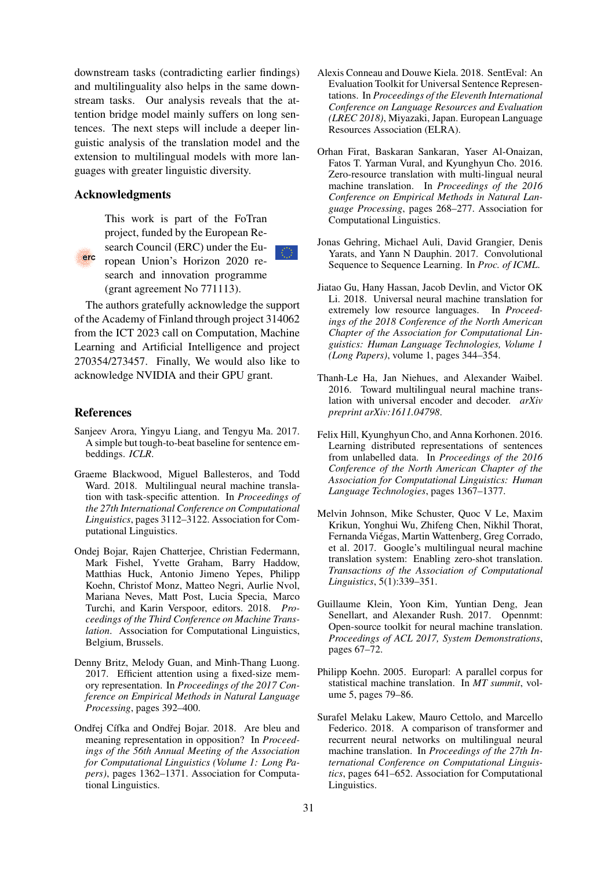downstream tasks (contradicting earlier findings) and multilinguality also helps in the same downstream tasks. Our analysis reveals that the attention bridge model mainly suffers on long sentences. The next steps will include a deeper linguistic analysis of the translation model and the extension to multilingual models with more languages with greater linguistic diversity.

## Acknowledgments

This work is part of the FoTran project, funded by the European Research Council (ERC) under the Eu-



ropean Union's Horizon 2020 research and innovation programme (grant agreement No 771113).

The authors gratefully acknowledge the support of the Academy of Finland through project 314062 from the ICT 2023 call on Computation, Machine Learning and Artificial Intelligence and project 270354/273457. Finally, We would also like to acknowledge NVIDIA and their GPU grant.

## References

- <span id="page-4-14"></span>Sanjeev Arora, Yingyu Liang, and Tengyu Ma. 2017. A simple but tough-to-beat baseline for sentence embeddings. *ICLR*.
- <span id="page-4-3"></span>Graeme Blackwood, Miguel Ballesteros, and Todd Ward. 2018. Multilingual neural machine translation with task-specific attention. In *Proceedings of the 27th International Conference on Computational Linguistics*, pages 3112–3122. Association for Computational Linguistics.
- <span id="page-4-0"></span>Ondej Bojar, Rajen Chatterjee, Christian Federmann, Mark Fishel, Yvette Graham, Barry Haddow, Matthias Huck, Antonio Jimeno Yepes, Philipp Koehn, Christof Monz, Matteo Negri, Aurlie Nvol, Mariana Neves, Matt Post, Lucia Specia, Marco Turchi, and Karin Verspoor, editors. 2018. *Proceedings of the Third Conference on Machine Translation*. Association for Computational Linguistics, Belgium, Brussels.
- <span id="page-4-9"></span>Denny Britz, Melody Guan, and Minh-Thang Luong. 2017. Efficient attention using a fixed-size memory representation. In *Proceedings of the 2017 Conference on Empirical Methods in Natural Language Processing*, pages 392–400.
- <span id="page-4-8"></span>Ondřej Cífka and Ondřej Bojar. 2018. Are bleu and meaning representation in opposition? In *Proceedings of the 56th Annual Meeting of the Association for Computational Linguistics (Volume 1: Long Papers)*, pages 1362–1371. Association for Computational Linguistics.
- <span id="page-4-13"></span>Alexis Conneau and Douwe Kiela. 2018. SentEval: An Evaluation Toolkit for Universal Sentence Representations. In *Proceedings of the Eleventh International Conference on Language Resources and Evaluation (LREC 2018)*, Miyazaki, Japan. European Language Resources Association (ELRA).
- <span id="page-4-1"></span>Orhan Firat, Baskaran Sankaran, Yaser Al-Onaizan, Fatos T. Yarman Vural, and Kyunghyun Cho. 2016. Zero-resource translation with multi-lingual neural machine translation. In *Proceedings of the 2016 Conference on Empirical Methods in Natural Language Processing*, pages 268–277. Association for Computational Linguistics.
- <span id="page-4-10"></span>Jonas Gehring, Michael Auli, David Grangier, Denis Yarats, and Yann N Dauphin. 2017. Convolutional Sequence to Sequence Learning. In *Proc. of ICML*.
- <span id="page-4-6"></span>Jiatao Gu, Hany Hassan, Jacob Devlin, and Victor OK Li. 2018. Universal neural machine translation for extremely low resource languages. In *Proceedings of the 2018 Conference of the North American Chapter of the Association for Computational Linguistics: Human Language Technologies, Volume 1 (Long Papers)*, volume 1, pages 344–354.
- <span id="page-4-4"></span>Thanh-Le Ha, Jan Niehues, and Alexander Waibel. 2016. Toward multilingual neural machine translation with universal encoder and decoder. *arXiv preprint arXiv:1611.04798*.
- <span id="page-4-7"></span>Felix Hill, Kyunghyun Cho, and Anna Korhonen. 2016. Learning distributed representations of sentences from unlabelled data. In *Proceedings of the 2016 Conference of the North American Chapter of the Association for Computational Linguistics: Human Language Technologies*, pages 1367–1377.
- <span id="page-4-5"></span>Melvin Johnson, Mike Schuster, Quoc V Le, Maxim Krikun, Yonghui Wu, Zhifeng Chen, Nikhil Thorat, Fernanda Viegas, Martin Wattenberg, Greg Corrado, ´ et al. 2017. Google's multilingual neural machine translation system: Enabling zero-shot translation. *Transactions of the Association of Computational Linguistics*, 5(1):339–351.
- <span id="page-4-11"></span>Guillaume Klein, Yoon Kim, Yuntian Deng, Jean Senellart, and Alexander Rush. 2017. Opennmt: Open-source toolkit for neural machine translation. *Proceedings of ACL 2017, System Demonstrations*, pages 67–72.
- <span id="page-4-12"></span>Philipp Koehn. 2005. Europarl: A parallel corpus for statistical machine translation. In *MT summit*, volume 5, pages 79–86.
- <span id="page-4-2"></span>Surafel Melaku Lakew, Mauro Cettolo, and Marcello Federico. 2018. A comparison of transformer and recurrent neural networks on multilingual neural machine translation. In *Proceedings of the 27th International Conference on Computational Linguistics*, pages 641–652. Association for Computational Linguistics.